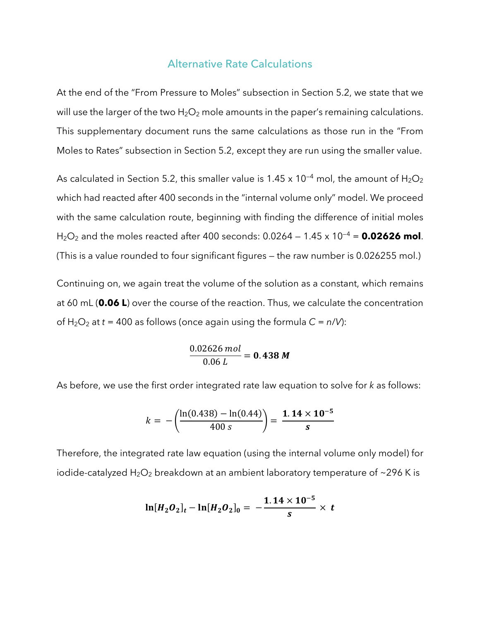## Alternative Rate Calculations

At the end of the "From Pressure to Moles" subsection in Section 5.2, we state that we will use the larger of the two  $H_2O_2$  mole amounts in the paper's remaining calculations. This supplementary document runs the same calculations as those run in the "From Moles to Rates" subsection in Section 5.2, except they are run using the smaller value.

As calculated in Section 5.2, this smaller value is 1.45 x 10<sup>-4</sup> mol, the amount of  $H_2O_2$ which had reacted after 400 seconds in the "internal volume only" model. We proceed with the same calculation route, beginning with finding the difference of initial moles H2O2 and the moles reacted after 400 seconds: 0.0264 — 1.45 x 10—4 = **0.02626 mol**. (This is a value rounded to four significant figures — the raw number is 0.026255 mol.)

Continuing on, we again treat the volume of the solution as a constant, which remains at 60 mL (**0.06 L**) over the course of the reaction. Thus, we calculate the concentration of  $H_2O_2$  at  $t = 400$  as follows (once again using the formula  $C = n/V$ ):

> 0.02626 mol  $\frac{2828 \text{ m/s}}{0.06 \text{ L}} = 0.438 \text{ M}$

As before, we use the first order integrated rate law equation to solve for *k* as follows:

$$
k = -\left(\frac{\ln(0.438) - \ln(0.44)}{400 s}\right) = \frac{1.14 \times 10^{-5}}{s}
$$

Therefore, the integrated rate law equation (using the internal volume only model) for iodide-catalyzed  $H_2O_2$  breakdown at an ambient laboratory temperature of ~296 K is

$$
\ln[H_2O_2]_t - \ln[H_2O_2]_0 = -\frac{1.14 \times 10^{-5}}{s} \times t
$$